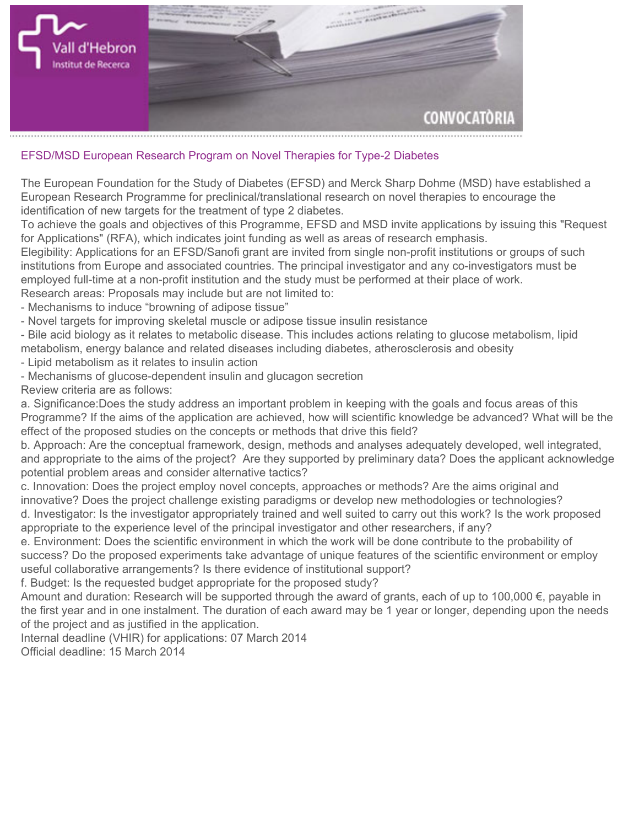

## **EFSD/MSD European Research Program on Novel Therapies for Type-2 Diabetes**

**The European Foundation for the Study of Diabetes (EFSD) and Merck Sharp Dohme (MSD) have established a European Research Programme for preclinical/translational research on novel therapies to encourage the identification of new targets for the treatment of type 2 diabetes.**

**To achieve the goals and objectives of this Programme, EFSD and MSD invite applications by issuing this "Request for Applications" (RFA), which indicates joint funding as well as areas of research emphasis.**

**Elegibility: Applications for an EFSD/Sanofi grant are invited from single non-profit institutions or groups of such institutions from Europe and associated countries. The principal investigator and any co-investigators must be employed full-time at a non-profit institution and the study must be performed at their place of work.**

**Research areas: Proposals may include but are not limited to:**

- **Mechanisms to induce "browning of adipose tissue"**
- **Novel targets for improving skeletal muscle or adipose tissue insulin resistance**

**- Bile acid biology as it relates to metabolic disease. This includes actions relating to glucose metabolism, lipid metabolism, energy balance and related diseases including diabetes, atherosclerosis and obesity**

**- Lipid metabolism as it relates to insulin action**

**- Mechanisms of glucose-dependent insulin and glucagon secretion Review criteria are as follows:**

**a. Significance:Does the study address an important problem in keeping with the goals and focus areas of this Programme? If the aims of the application are achieved, how will scientific knowledge be advanced? What will be the effect of the proposed studies on the concepts or methods that drive this field?**

**b. Approach: Are the conceptual framework, design, methods and analyses adequately developed, well integrated, and appropriate to the aims of the project? Are they supported by preliminary data? Does the applicant acknowledge potential problem areas and consider alternative tactics?**

**c. Innovation: Does the project employ novel concepts, approaches or methods? Are the aims original and innovative? Does the project challenge existing paradigms or develop new methodologies or technologies? d. Investigator: Is the investigator appropriately trained and well suited to carry out this work? Is the work proposed appropriate to the experience level of the principal investigator and other researchers, if any?**

**e. Environment: Does the scientific environment in which the work will be done contribute to the probability of success? Do the proposed experiments take advantage of unique features of the scientific environment or employ useful collaborative arrangements? Is there evidence of institutional support?**

**f. Budget: Is the requested budget appropriate for the proposed study?**

**Amount and duration: Research will be supported through the award of grants, each of up to 100,000 €, payable in the first year and in one instalment. The duration of each award may be 1 year or longer, depending upon the needs of the project and as justified in the application.**

**Internal deadline (VHIR) for applications: 07 March 2014 Official deadline: 15 March 2014**